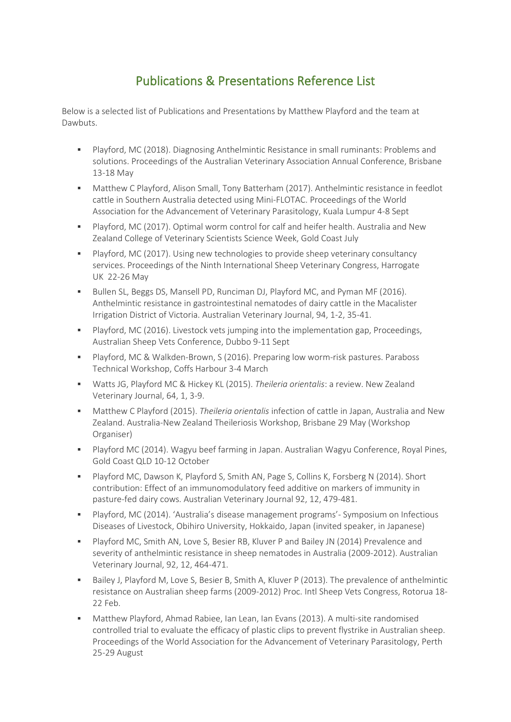## Publications & Presentations Reference List

Below is a selected list of Publications and Presentations by Matthew Playford and the team at Dawbuts.

- Playford, MC (2018). Diagnosing Anthelmintic Resistance in small ruminants: Problems and solutions. Proceedings of the Australian Veterinary Association Annual Conference, Brisbane 13-18 May
- Matthew C Playford, Alison Small, Tony Batterham (2017). Anthelmintic resistance in feedlot cattle in Southern Australia detected using Mini-FLOTAC. Proceedings of the World Association for the Advancement of Veterinary Parasitology, Kuala Lumpur 4-8 Sept
- Playford, MC (2017). Optimal worm control for calf and heifer health. Australia and New Zealand College of Veterinary Scientists Science Week, Gold Coast July
- Playford, MC (2017). Using new technologies to provide sheep veterinary consultancy services. Proceedings of the Ninth International Sheep Veterinary Congress, Harrogate UK 22-26 May
- Bullen SL, Beggs DS, Mansell PD, Runciman DJ, Playford MC, and Pyman MF (2016). Anthelmintic resistance in gastrointestinal nematodes of dairy cattle in the Macalister Irrigation District of Victoria. Australian Veterinary Journal, 94, 1-2, 35-41.
- Playford, MC (2016). Livestock vets jumping into the implementation gap, Proceedings, Australian Sheep Vets Conference, Dubbo 9-11 Sept
- Playford, MC & Walkden-Brown, S (2016). Preparing low worm-risk pastures. Paraboss Technical Workshop, Coffs Harbour 3-4 March
- Watts JG, Playford MC & Hickey KL (2015). *Theileria orientalis*: a review. New Zealand Veterinary Journal, 64, 1, 3-9.
- Matthew C Playford (2015). *Theileria orientalis* infection of cattle in Japan, Australia and New Zealand. Australia-New Zealand Theileriosis Workshop, Brisbane 29 May (Workshop Organiser)
- Playford MC (2014). Wagyu beef farming in Japan. Australian Wagyu Conference, Royal Pines, Gold Coast QLD 10-12 October
- Playford MC, Dawson K, Playford S, Smith AN, Page S, Collins K, Forsberg N (2014). Short contribution: Effect of an immunomodulatory feed additive on markers of immunity in pasture-fed dairy cows. Australian Veterinary Journal 92, 12, 479-481.
- Playford, MC (2014). 'Australia's disease management programs'- Symposium on Infectious Diseases of Livestock, Obihiro University, Hokkaido, Japan (invited speaker, in Japanese)
- Playford MC, Smith AN, Love S, Besier RB, Kluver P and Bailey JN (2014) Prevalence and severity of anthelmintic resistance in sheep nematodes in Australia (2009-2012). Australian Veterinary Journal, 92, 12, 464-471.
- Bailey J, Playford M, Love S, Besier B, Smith A, Kluver P (2013). The prevalence of anthelmintic resistance on Australian sheep farms (2009-2012) Proc. Intl Sheep Vets Congress, Rotorua 18- 22 Feb.
- Matthew Playford, Ahmad Rabiee, Ian Lean, Ian Evans (2013). A multi-site randomised controlled trial to evaluate the efficacy of plastic clips to prevent flystrike in Australian sheep. Proceedings of the World Association for the Advancement of Veterinary Parasitology, Perth 25-29 August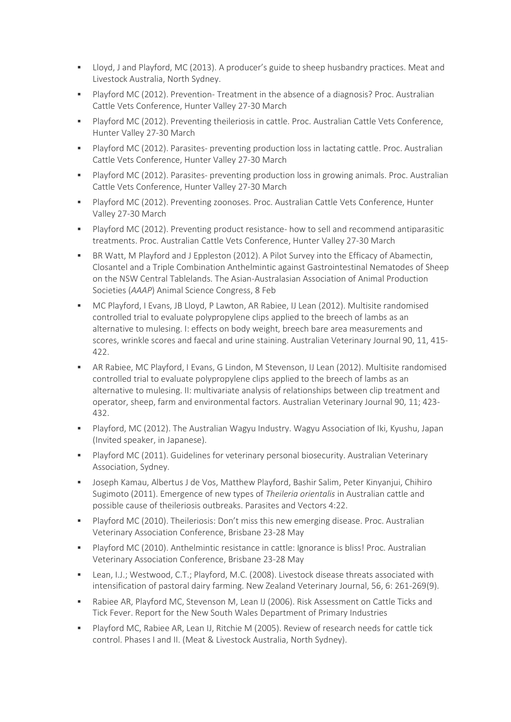- Lloyd, J and Playford, MC (2013). A producer's guide to sheep husbandry practices. Meat and Livestock Australia, North Sydney.
- Playford MC (2012). Prevention- Treatment in the absence of a diagnosis? Proc. Australian Cattle Vets Conference, Hunter Valley 27-30 March
- Playford MC (2012). Preventing theileriosis in cattle. Proc. Australian Cattle Vets Conference, Hunter Valley 27-30 March
- Playford MC (2012). Parasites- preventing production loss in lactating cattle. Proc. Australian Cattle Vets Conference, Hunter Valley 27-30 March
- Playford MC (2012). Parasites- preventing production loss in growing animals. Proc. Australian Cattle Vets Conference, Hunter Valley 27-30 March
- Playford MC (2012). Preventing zoonoses. Proc. Australian Cattle Vets Conference, Hunter Valley 27-30 March
- Playford MC (2012). Preventing product resistance- how to sell and recommend antiparasitic treatments. Proc. Australian Cattle Vets Conference, Hunter Valley 27-30 March
- BR Watt, M Playford and J Eppleston (2012). A Pilot Survey into the Efficacy of Abamectin, Closantel and a Triple Combination Anthelmintic against Gastrointestinal Nematodes of Sheep on the NSW Central Tablelands. The Asian-Australasian Association of Animal Production Societies (*AAAP*) Animal Science Congress, 8 Feb
- MC Playford, I Evans, JB Lloyd, P Lawton, AR Rabiee, IJ Lean (2012). Multisite randomised controlled trial to evaluate polypropylene clips applied to the breech of lambs as an alternative to mulesing. I: effects on body weight, breech bare area measurements and scores, wrinkle scores and faecal and urine staining. Australian Veterinary Journal 90, 11, 415- 422.
- AR Rabiee, MC Playford, I Evans, G Lindon, M Stevenson, IJ Lean (2012). Multisite randomised controlled trial to evaluate polypropylene clips applied to the breech of lambs as an alternative to mulesing. II: multivariate analysis of relationships between clip treatment and operator, sheep, farm and environmental factors. Australian Veterinary Journal 90, 11; 423- 432.
- Playford, MC (2012). The Australian Wagyu Industry. Wagyu Association of Iki, Kyushu, Japan (Invited speaker, in Japanese).
- Playford MC (2011). Guidelines for veterinary personal biosecurity. Australian Veterinary Association, Sydney.
- Joseph Kamau, Albertus J de Vos, Matthew Playford, Bashir Salim, Peter Kinyanjui, Chihiro Sugimoto (2011). Emergence of new types of *Theileria orientalis* in Australian cattle and possible cause of theileriosis outbreaks. Parasites and Vectors 4:22.
- Playford MC (2010). Theileriosis: Don't miss this new emerging disease. Proc. Australian Veterinary Association Conference, Brisbane 23-28 May
- Playford MC (2010). Anthelmintic resistance in cattle: Ignorance is bliss! Proc. Australian Veterinary Association Conference, Brisbane 23-28 May
- Lean, I.J.; Westwood, C.T.; Playford, M.C. (2008). Livestock disease threats associated with intensification of pastoral dairy farming. New Zealand Veterinary Journal, 56, 6: 261-269(9).
- Rabiee AR, Playford MC, Stevenson M, Lean IJ (2006). Risk Assessment on Cattle Ticks and Tick Fever. Report for the New South Wales Department of Primary Industries
- Playford MC, Rabiee AR, Lean IJ, Ritchie M (2005). Review of research needs for cattle tick control. Phases I and II. (Meat & Livestock Australia, North Sydney).